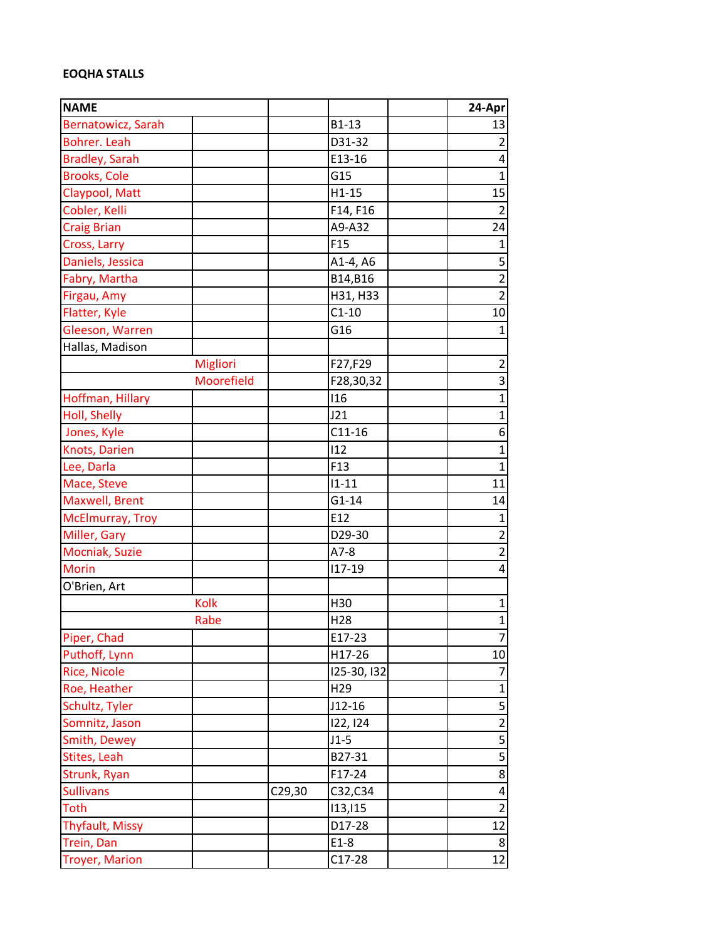## **EOQHA STALLS**

| <b>NAME</b>            |            |        |                 | 24-Apr                  |
|------------------------|------------|--------|-----------------|-------------------------|
| Bernatowicz, Sarah     |            |        | B1-13           | 13                      |
| <b>Bohrer. Leah</b>    |            |        | D31-32          | $\overline{2}$          |
| <b>Bradley, Sarah</b>  |            |        | E13-16          | 4                       |
| <b>Brooks, Cole</b>    |            |        | G15             | $\mathbf{1}$            |
| Claypool, Matt         |            |        | $H1-15$         | 15                      |
| Cobler, Kelli          |            |        | F14, F16        | $\overline{2}$          |
| <b>Craig Brian</b>     |            |        | A9-A32          | 24                      |
| Cross, Larry           |            |        | F <sub>15</sub> | $\mathbf{1}$            |
| Daniels, Jessica       |            |        | A1-4, A6        | 5                       |
| Fabry, Martha          |            |        | B14,B16         | $\overline{2}$          |
| Firgau, Amy            |            |        | H31, H33        | $\overline{2}$          |
| Flatter, Kyle          |            |        | $C1-10$         | 10                      |
| Gleeson, Warren        |            |        | G16             | $\mathbf{1}$            |
| Hallas, Madison        |            |        |                 |                         |
|                        | Migliori   |        | F27,F29         | $\overline{c}$          |
|                        | Moorefield |        | F28,30,32       | $\overline{3}$          |
| Hoffman, Hillary       |            |        | 116             | $\mathbf{1}$            |
| Holl, Shelly           |            |        | J21             | $\mathbf{1}$            |
| Jones, Kyle            |            |        | $C11-16$        | 6                       |
| Knots, Darien          |            |        | 112             | $\overline{1}$          |
| Lee, Darla             |            |        | F <sub>13</sub> | $\overline{1}$          |
| Mace, Steve            |            |        | $11 - 11$       | 11                      |
| Maxwell, Brent         |            |        | $G1-14$         | 14                      |
| McElmurray, Troy       |            |        | E12             | $\mathbf{1}$            |
| Miller, Gary           |            |        | D29-30          | $\overline{2}$          |
| Mocniak, Suzie         |            |        | $A7-8$          | $\overline{2}$          |
| <b>Morin</b>           |            |        | $117 - 19$      | 4                       |
| O'Brien, Art           |            |        |                 |                         |
|                        | Kolk       |        | H30             | 1                       |
|                        | Rabe       |        | H <sub>28</sub> | $\overline{1}$          |
| Piper, Chad            |            |        | E17-23          | 7                       |
| Puthoff, Lynn          |            |        | H17-26          | $10\,$                  |
| <b>Rice, Nicole</b>    |            |        | 125-30, 132     | $\overline{7}$          |
| Roe, Heather           |            |        | H <sub>29</sub> | $\mathbf{1}$            |
| Schultz, Tyler         |            |        | $J12-16$        |                         |
| Somnitz, Jason         |            |        | 122, 124        | $\overline{2}$          |
| Smith, Dewey           |            |        | $J1-5$          | 5                       |
| Stites, Leah           |            |        | B27-31          | $\overline{5}$          |
| Strunk, Ryan           |            |        | F17-24          | $\overline{8}$          |
| <b>Sullivans</b>       |            | C29,30 | C32,C34         | $\overline{\mathbf{r}}$ |
| <b>Toth</b>            |            |        | 113,115         | $\overline{2}$          |
| <b>Thyfault, Missy</b> |            |        | D17-28          | 12                      |
| Trein, Dan             |            |        | $E1-8$          | 8                       |
| <b>Troyer, Marion</b>  |            |        | $C17-28$        | 12                      |